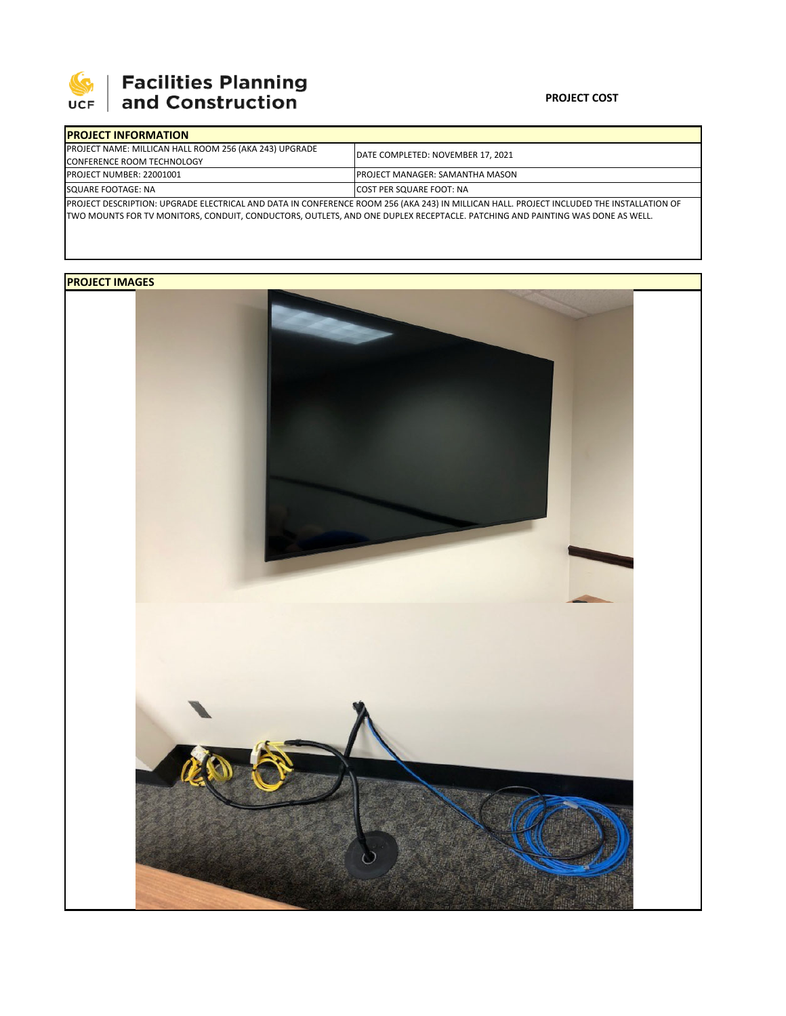

# **SEPTE AND Facilities Planning**<br>UCF and Construction

### **PROJECT COST**

| <b>IPROJECT INFORMATION</b>                                                                                                              |                                        |
|------------------------------------------------------------------------------------------------------------------------------------------|----------------------------------------|
| PROJECT NAME: MILLICAN HALL ROOM 256 (AKA 243) UPGRADE                                                                                   | DATE COMPLETED: NOVEMBER 17, 2021      |
| <b>CONFERENCE ROOM TECHNOLOGY</b>                                                                                                        |                                        |
| PROJECT NUMBER: 22001001                                                                                                                 | <b>PROJECT MANAGER: SAMANTHA MASON</b> |
| SQUARE FOOTAGE: NA                                                                                                                       | <b>COST PER SQUARE FOOT: NA</b>        |
| PROJECT DESCRIPTION: UPGRADE ELECTRICAL AND DATA IN CONFERENCE ROOM 256 (AKA 243) IN MILLICAN HALL. PROJECT INCLUDED THE INSTALLATION OF |                                        |

TWO MOUNTS FOR TV MONITORS, CONDUIT, CONDUCTORS, OUTLETS, AND ONE DUPLEX RECEPTACLE. PATCHING AND PAINTING WAS DONE AS WELL.

## **PROJECT IMAGES**